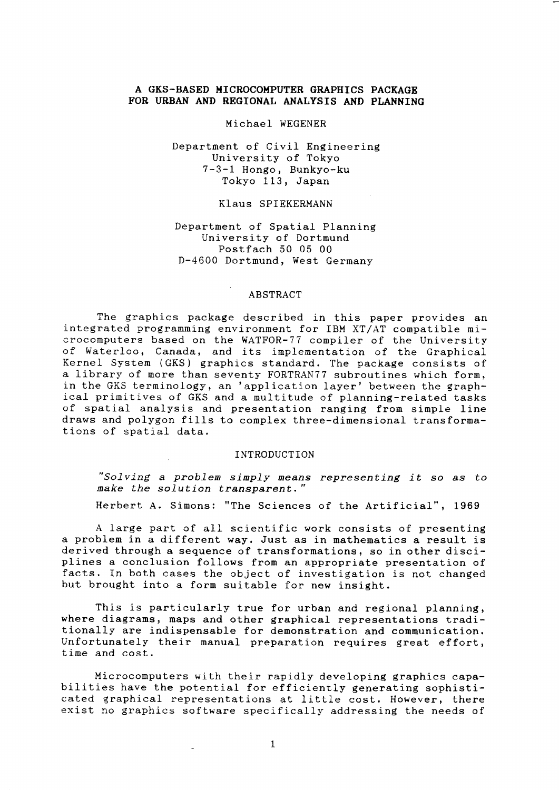# A GKS-BASED MICROCOMPUTER GRAPHICS PACKAGE FOR URBAN AND REGIONAL ANALYSIS AND PLANNING

### Michael WEGENER

# Department of Civil Engineering University of Tokyo 7-3-1 Hongo, Bunkyo-ku Tokyo 113, Japan

# Klaus SPIEKERMANN

# Department of Spatial Planning University of Dortmund Postfach 50 05 00 D-4600 Dortmund, West Germany

### ABSTRACT

The graphics package described in this paper provides an integrated programming environment for IBM XT/AT compatible microcomputers based on the WATFOR-77 compiler of the University of Waterloo, Canada, and its implementation of the Graphical Kernel System (GKS) graphics standard. The package consists of a library of more than seventy FORTRANTT subroutines which form, in the GKS terminology, an 'application layer' between the graphical primitives of GKS and a multitude of planning-reLated tasks of spatial- analysis and presentation ranging from sinple line draws and polygon fil1s to complex three-dimensional transformations of spatial data.

### INTRODUCTTON

"solving a problem sinply means representing it so &s to make the solution transparent."

Herbert A. Simons: "The Sciences of the Artificial", 1969

A large part of all scientific work consists of presenting a problem in a different way. Just as in mathematics a result is derived through a seguence of transformations, so in other disci- plines a conclusion follows from an appropriate presentation of facts. In both cases the object of investigation is not changed but brought into a form suitable for new insight.

This is particularly true for urban and regional planning, where diagrams, maps and other graphical representations traditionally are indispensable for demonstration and communication. Unfortunately their manual preparation requires great effort, time and cost.

Microcomputers with their rapidly developing graphics capabilities have the potential for efficiently generating sophisticated graphical representations at little cost. However, there exist no graphics software specifically addressing the needs of

 $\mathbf{1}$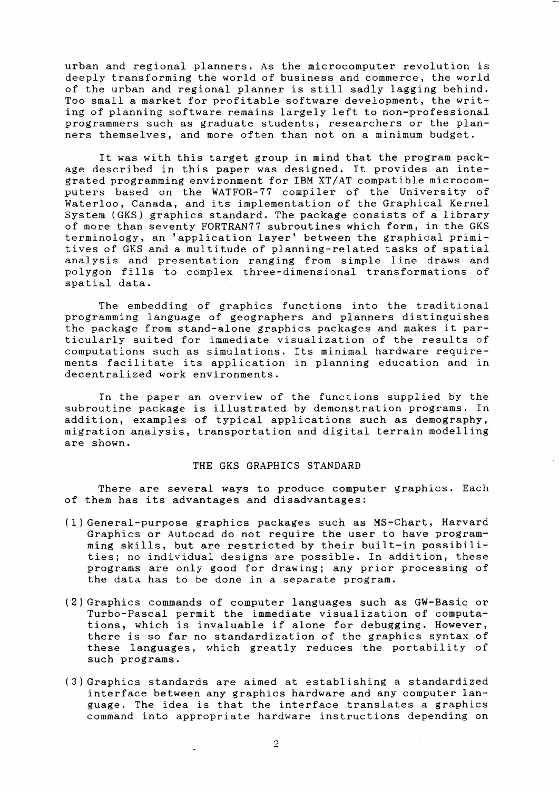urban and regional planners. As the microcomputer revolution is deeply transforming the world of business and commerce, the world of the urban and regional planner is still sadly lagging behind. Too small a market for profitable software development, the writing of planning software remains largely left to non-professional programmers such as graduate students, researchers or the planners themselves, and more often than not on a minimum budget.

It was with this target group in mind that the program package described in this paper was designed. It provides an integrated programming environment for IBM XT/lf compatible microcomputers based on the WATFOR-77 compiler of the University of Waterloo, Canada, and its implementation of the Graphical Kernel System (GKS) graphics standard. The package consists of a library of more than seventy FORTRAN77 subroutines which form, in the GKS terminology, an 'application layer' between the graphical primitives of GKS and a multitude of planning-related tasks of spatial analysis and presentation ranging from simple line draws and polygon fills to complex three-dimensional transformations of spatial data.

The embedding of graphics functions into the traditional programming language of geographers and planners distinguishes the package from stand-alone graphics packages and makes it particularly suited for immediate visualization of the results of computations such as simulations. Its minimal hardware requirements facilitate its application in planning education and in decentralized work environments.

In the paper an overview of the functions supplied by the subroutine package is illustrated by demonstration programs. In addition, examples of typical applications such as demography migration analysis, transportation and digital terrain modelling are shown.

#### THE GKS GRAPHICS STANDARD

There are several ways to produce computer graphics. Each of them has its advantages and disadvantages:

- (1) General-purpose graphics packages such as MS-Chart, Harvard Graphics or Autocad do not require the user to have programming ski11s, but are restricted by their built-in possibilities; no individual designs are possible. In addition, these programs are only good for drawing; any prior processing of the data has to be done in a separate program.
- (2) Graphics commands of computer languages such as GW-Basic or Turbo-Pascal permit the immediate visualization of computations, which is invaluable if alone for debugging. However, there is so far no standardization of the graphics syntax of these languages, which greatly reduces the portability of such programs.
- ( 3 ) Graphics standards are aimed at establishing a standardized interface between any graphics hardware and any computer Ianguage. The idea is that the interface translates a graphics command into appropriate hardware instructions depending on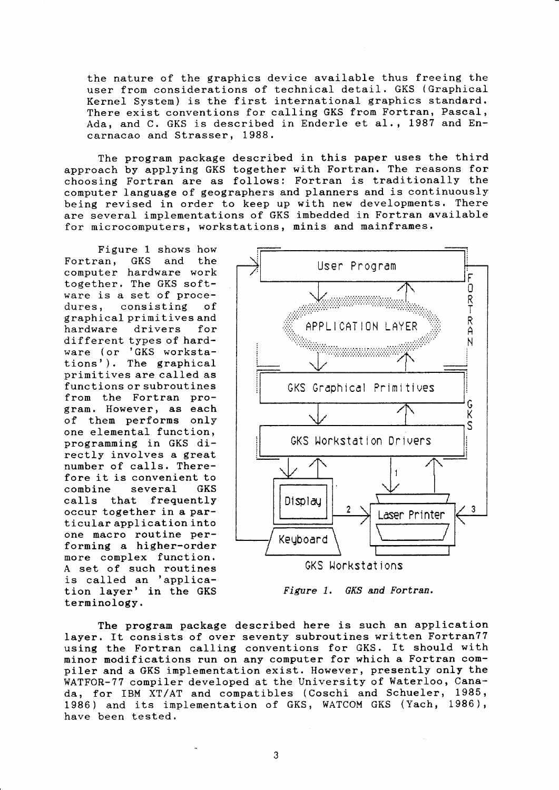the nature of the graphics device available thus freeing the user from considerations of technical detail. GKS (Graphical Kernel System) is the first international graphics standard. There exist conventions for calling GKS from Fortran, Pascal, Ada, and C. GKS is described in Enderle et al., 1987 and Encarnacao and Strasser, 1988.

The program package described in this paper uses the third approach by applying GKS together with Fortran. The reasons for choosing Fortran are as follows: Fortran is traditionally the computer language of geographers and planners and is continuously being revised in order to keep up with new developments. There are several implementations of GKS imbedded in Fortran available for microcomputers, workstations, minis and mainframes.

Figure 1 shows how<br>Fortran, GKS and the and the computer hardware work together, The GKS software is a set of procedures, consisting of graphical primit ives and hardware drivers for different types of hardware ( or 'GKS workstations'). The graphical prinitives are ca11ed as functions or subroutines from the Fortran program. However, as each of them performs only one elemental function, programming in GKS directly involves a great number of calls. Therefore it is convenient to<br>combine several GKS  $combine$  several caIls that frequently occur together in a partieular application into one macro routine performing a higher-order more complex function. A set of such routines is called an 'application layer' in the GKS terminology.



Figure 1. GKS and Fortran.

The program package described here is such an application layer. It consists of over seventy subroutines written Fortran77 using the Fortran calling conventions for GKS. It should with minor modifications run on any computer for which a Fortran compiler and a GKS implementation exist. However, presently only the WATFOR-77 compiler developed at the University of Waterloo, Canada, for IBM XT/AT and compatibles (Coschi and Schueler, 1985, 1986) and its implementation of GKS, WATCOM GKS (Yach, 1986), have been tested.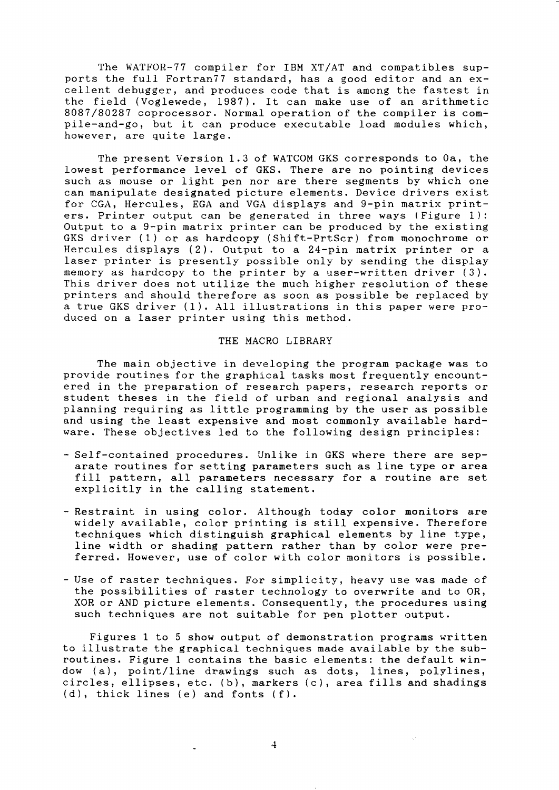The WATFOR-77 compiler for IBM XT/AT and compatibles supports the full Fortran77 standard, has a good editor and an excellent debugger, and produces code that is among the fastest in the field (Voglewede, 1987). It can make use of an arithmetic 8087/80287 coprocessor. Normal operation of the compiler is compile-and-go, but it can produce executable load modules which, however, are quite 1arge.

The present Version 1.3 of WATCOM GKS corresponds to 0a, the lowest performance level of GKS. There are no pointing devices such as mouse or light pen nor are there segments by which one can manipulate designated picture elements. Device drivers exist for CGA, Hereules, EGA and VGA displays and 9-pin matrix printers. Printer output can be generated in three ways (Figure 1): Output to a  $9$ -pin matrix printer can be produced by the existing GKS driver (1) or as hardcopy (Shift-PrtScr) from monochrome or Hercules displays (2), Output to a 24-pin matrix printer or <sup>a</sup> laser printer is presently possible only by sending the display<br>memory as hardcopy to the printer by a user-written driver (3). This driver does not utilize the much higher resolution of these printers and should therefore as soon as possible be replaced by a true GKS driver  $(1)$ . All illustrations in this paper were produced on a laser printer using this method.

### THE MACRO LIBRARY

The main objective in developing the program package was to provide routines for the graphical tasks most frequently encountered in the preparation of research papers, research reports or student theses in the field of urban and regional analysis and planning requiring as little programming by the user as possible and using the least expensive and most commonly available hardware. These objectives led to the following design principles:

- Self-contained procedures. Unlike in GKS where there are separate routines for setting parameters such as line type or area fill pattern, all parameters necessary for a routine are set explicitly in the calling statement.
- Restraint in using color. Although today color monitors are widely available, color printing is still expensive. Therefore techniques which distinguish graphical elements by Iine type, line width or shading pattern rather than by color were preferred. However, use of color with color monitors is possible.
- Use of raster techniques. For simplicity, heavy use was made of the possibilities of raster technology to overwrite and to OR, XOR or AND picture elements. Consequently, the procedures using such teehniques are not suitable for pen plotter output.

Figures 1 to 5 show output of demonstration programs written to illustrate the graphical techniques made available by the subroutines. Fisure 1 contains the basic elements: the default window (a), point,/line drawings sueh as dots, lines, polylines, circles, ellipses, etc. (b), markers (c), area fi11s and shadings (d), thick lines (e) and fonts ( f).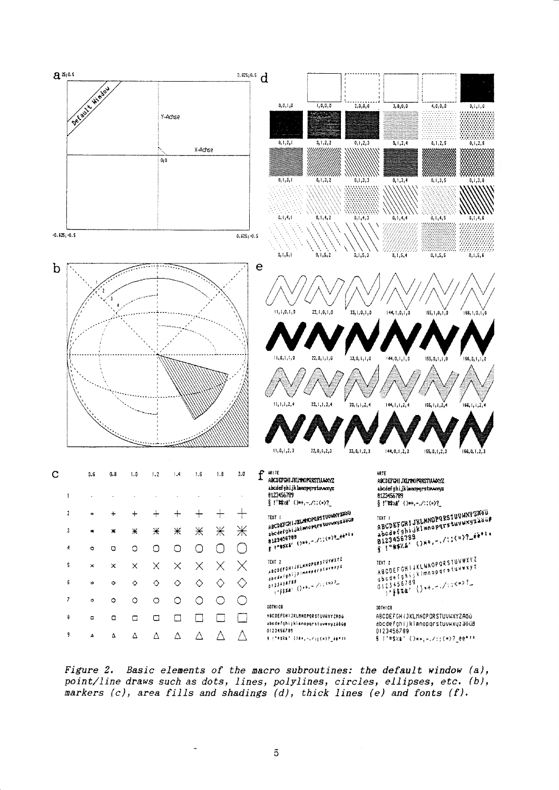

Figure 2. Basic elements of the macro subroutines: the default window (a), point/line draws such as dots, lines, polylines, circles, ellipses, etc. (b), markers  $(c)$ , area fills and shadings  $(d)$ , thick lines  $(e)$  and fonts  $(f)$ .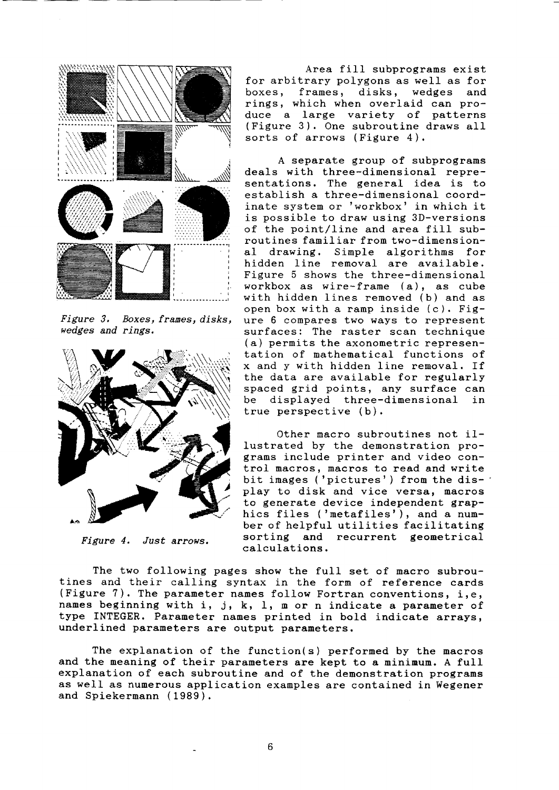

Figure 3. Boxes, frames, disks, wedges and rings.



Figure 4. Just arrows,

Area filI subprograms exist for arbitrary polygons as well as for boxes, frames, disks, wedges and rings, which when overlaid can produce a large variety of patterns ( Figure <sup>3</sup>) . One subroutine draws all sorts of arrows (Figure 4).

A separate group of subprograms deals with three-dimensional representations. The general idea is to establish a three-dimensional coordinate system or 'workbox' in which it is possible to draw using 3D-versions of the point/line and area fill subroutines familiar f rom two-dimensiona1 drawing. Simple algorithns for hidden line removal are available. Figure 5 shows the three-dimensional workbox as wire-frame (a), as cube with hidden lines removed (b) and as open box with a ramp inside (c). Figure 6 compares two ways to represent surfaces: The raster scan technique (a) permits the axonometric representation of nathematical functions of x and y with hidden line removal. If the data are available for regularly spaced grid points, any surface can<br>be displayed three-dimensional in be displayed three-dimensional true perspective (b).

Other macro subroutines not i1 lustrated by the demonstration programs include printer and video control macros, macros to read and write bit images ('pictures') from the display to disk and vice versa, macros to generate device independent graphics files ('metafiles'), and a number of helpful utilities facilitating sorting and recurrent geometrical calculations,

The two following pages show the full set of macro subrou-<br>tines and their calling syntax in the form of reference cards (Figure 7). The parameter names follow Fortran conventions, i,e, names beginning with  $i$ ,  $j$ ,  $k$ ,  $l$ ,  $m$  or n indicate a parameter of type INTEGER. Parameter names printed in bold indicate arrays, underlined parameters are output parameters.

The explanation of the function( $s$ ) performed by the macros and the meaning of their parameters are kept to a minimum. A full explanation of each subroutine and of the demonstration programs as welI as numerous application examples are contained in Wegener and Spiekermann (1989).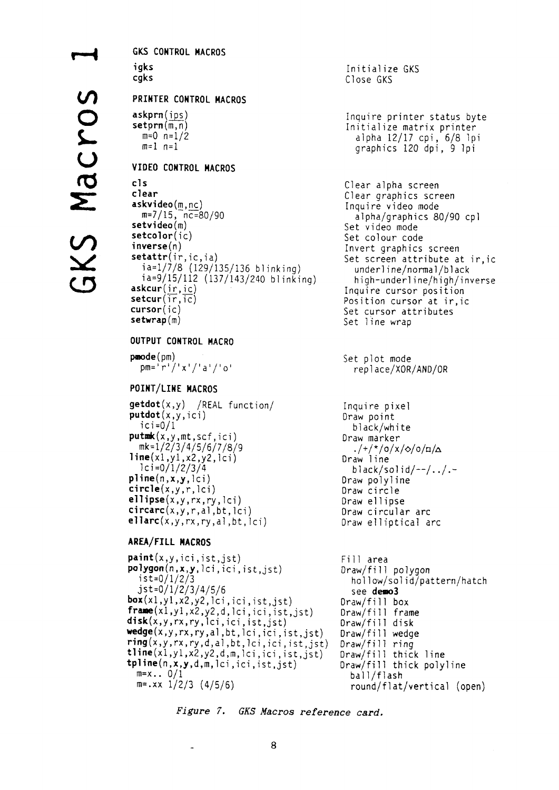**GKS CONTROL MACROS** igks caks PRINTER CONTROL MACROS  $askprn(ips)$  $setprn(\overline{m,n})$  $m=0$   $n=1/2$  $m=1$   $n=1$ VIDEO CONTROL MACROS  $c1c$ clear askvideo(m,nc)  $m=7/15$ ,  $n = 80/90$  $setvideo(m)$  $setcolor(i)$  $inverse(n)$ setattr(ir, ic, ia)  $ia=1/\dot{7}/8$  (129/135/136 blinking) ia=9/15/112 (137/143/240 blinking)  $askcur(in,ic)$  $setcur(i\vec{r},\vec{ic})$  $cursor(ic)$  $setwrap(m)$ OUTPUT CONTROL MACRO  $pmod{e(pm)}$  $pm = \int r^{1}/x^{1}/4a^{1}/10^{1}$ POINT/LINE MACROS  $\text{getdot}(x, y)$  /REAL function/  $putdot(x, y, ici)$  $i$ c $i = 0/1$  $putmk(x, y, mt, scf, ici)$ mk=1/2/3/4/5/6/7/8/9  $line(x1,y1,x2,y2,1ci)$  $1ci = 0/1/2/3/4$  $pline(n, x, y, lci)$  $circle(x, y, r, lci)$ ellipse $(x, y, rx, ry, lci)$  $circarc(x,y,r,a),bt,lci)$  $ellarc(x,y,rx,ry,al,bt,lci)$ AREA/FILL MACROS  $point(x, y, ici, ist, jst)$  $\text{polygon}(n, x, y, \text{lci}, \text{ici}, \text{ist}, \text{jst})$  $15t=0/1/2/3$  $j$ st=0/1/2/3/4/5/6  $box(x1,y1,x2,y2,1ci,ici,ist,jst)$  $frame(x1,y1,x2,y2,d, lci, ici, ist, jst)$ disk(x,y,rx,ry,lci,ici,ist,jst) wedge(x,y,rx,ry,al,bt,lci,ici,ist,jst)

 $ring(x, y, rx, ry, d, al, bt, lei, ici, ist, jst)$ 

 $time(x1,y1,x2,y2,d,m,lci,ici,ist,jst)$ 

 $t$ pline(n,x,y,d,m,lci,ici,ist,jst)

 $m = x \dots 0/1$ 

 $m = .xx$  1/2/3 (4/5/6)

Initialize GKS Close GKS

Inquire printer status byte Initialize matrix printer alpha 12/17 cpi, 6/8 lpi graphics 120 dpi, 9 lpi

Clear alpha screen Clear graphics screen Inquire video mode alpha/graphics 80/90 cpl Set video mode Set colour code Invert graphics screen Set screen attribute at ir, ic underline/normal/black high-underline/high/inverse Inquire cursor position Position cursor at ir, ic Set cursor attributes Set line wrap

Set plot mode replace/XOR/AND/OR

Inquire pixel Draw point black/white Draw marker  $.$ /+/\*/o/x/ $\Diamond$ /o/ $\Box/\Diamond$ Draw line  $black/solid/--/-./-$ Draw polyline Draw circle Draw ellipse Draw circular arc Draw elliptical arc

```
Fill area
Draw/fill polygon
  hollow/solid/pattern/hatch
  see demo3
Draw/fill box
Draw/fill frame
Draw/fill disk
Draw/fill wedge
Draw/fill ring
Draw/fill thick line
Draw/fill thick polyline
 ball/flash
  round/flat/vertical (open)
```
Figure 7. GKS Macros reference card.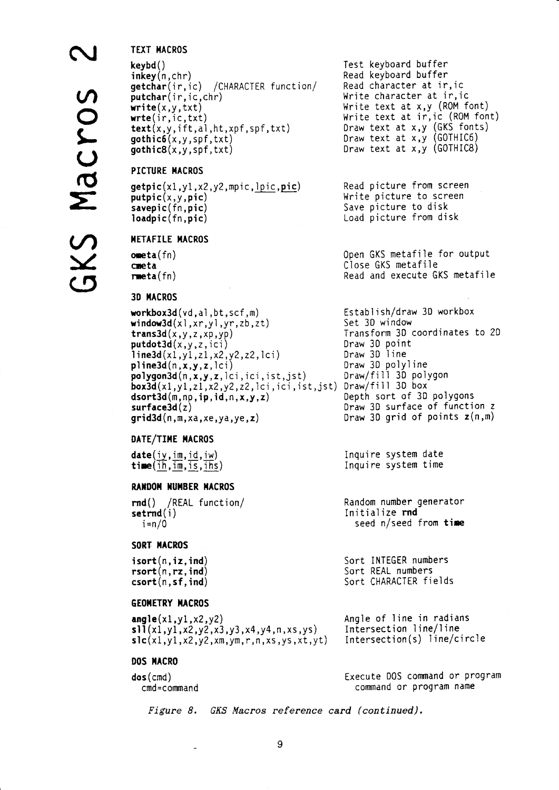# **TEXT MACROS**

```
keybd()\mathsf{inkey}(n,\mathsf{chr})getchar(ir,ic) / CHARACTER function/
putchar(i, ic, chr)write(x, y, txt)write(in, ic, txt)text(x,y,iff,al,ht,xf,spf,txt)\text{gothic6}(x, y, \text{spf}, \text{txt})qothic8(x,y,spf.txt)
```
# PICTURE MACROS

```
getpic(x1,y1,x2,y2,mpic,lpic,pic)putpic(x, y, pic)savepic(fn,pic)loadpic(fn,pic)
```
## **METAFILE MACROS**

```
<sub>one</sub>ta(fn)</sub>
cmeta
rmeta(\text{fn})
```
# **3D MACROS**

```
workbox3d(vd,al,bt,scf,m)
window3d(x1, xr,y1,yr,zb,zt)trans3d(x,y,z,xp,yp)putdot3d(x,y,z,ici)line3d(x1,y1,z1,x2,y2,z2,1ci)pline3d(n, x, y, z, |ci)\text{polygon3d}(n, x, y, z, \text{lci}, \text{ici}, \text{ist}, \text{jst})box3d(x1,y1,z1,x2,y2,z2,lci,ici,ist,jst) Draw/fill 3D box
dsort3d(m, np, ip, id, n, x, y, z)surface3d(z)grid3d(n,m,xa,xe,ya,ye,z)
```
## DATE/TIME MACROS

 $\texttt{date}(iy, \texttt{im}, \texttt{id}, \texttt{iw})$  $time(ih, im, is, ihs)$ 

## **RANDOM NUMBER MACROS**

rnd() /REAL function/  $setrnd(i)$  $i=n/0$ 

## SORT MACROS

 $isort(n, iz, ind)$  $rsort(n, rz, ind)$  $\textsf{csort}(n, \textsf{sf}, \textsf{ind})$ 

## **GEOMETRY MACROS**

angle $(x1,y1,x2,y2)$  $sl1(x1,y1,x2,y2,x3,y3,x4,y4,n,x5,y5)$  $\mathsf{slc}(x1,y1,x2,y2,xm,ym,r,n,xs,ys,xt,yt)$ 

### DOS MACRO

 $\texttt{dos}(\texttt{cmd})$ cmd=command Test keyboard buffer Read keyboard buffer Read character at ir, ic Write character at ir, ic Write text at x,y (ROM font) Write text at ir, ic (ROM font) Draw text at x, y (GKS fonts) Draw text at x, y (GOTHIC6) Draw text at  $x, y$  (GOTHIC8)

Read picture from screen Write picture to screen Save picture to disk Load picture from disk

Open GKS metafile for output Close GKS metafile Read and execute GKS metafile

Establish/draw 3D workbox Set 30 window Transform 3D coordinates to 2D Draw 30 point Draw 3D line Draw 3D polyline Draw/fill 3D polygon Depth sort of 3D polygons Draw 3D surface of function z Draw 3D grid of points  $z(n,m)$ 

Inquire system date Inquire system time

Random number generator Initialize rnd seed n/seed from time

Sort INTEGER numbers Sort REAL numbers Sort CHARACTER fields

Angle of line in radians Intersection line/line  $Intersection(s)$  line/circle

Execute DOS command or program command or program name

*Figure 8.* GKS Macros reference card (continued).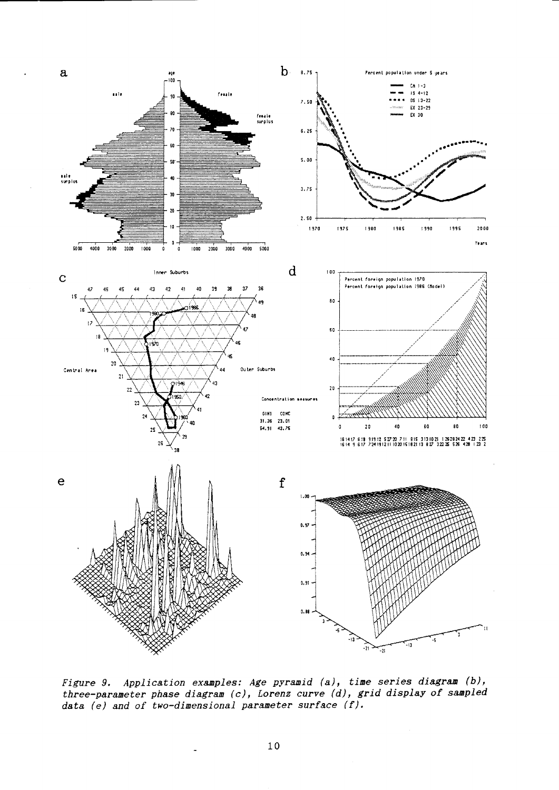

Figure 9. Application examples: Age pyramid (a), time series diagram (b),<br>three-parameter phase diagram (c), Lorenz curve (d), grid display of sampled data  $(e)$  and of two-dimensional parameter surface  $(f)$ .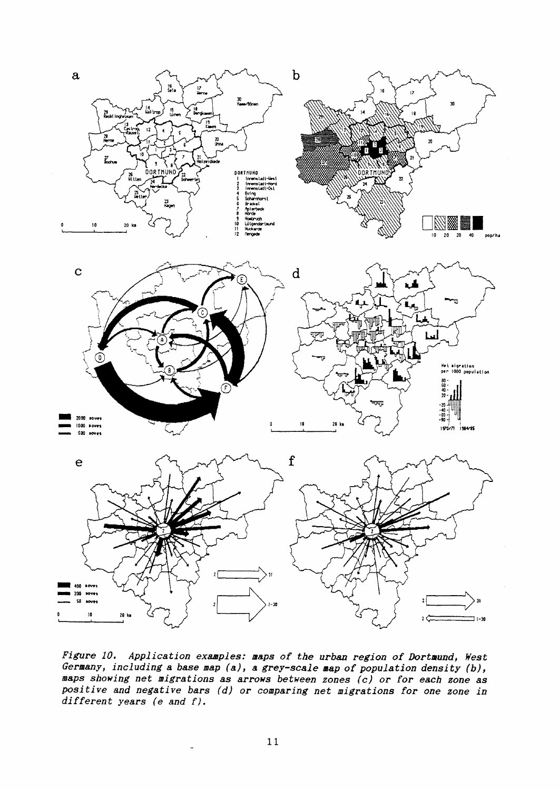

Figure 10. Application examples: maps of the urban region of Dortmund, West Germany, including a base map  $(a)$ , a grey-scale map of population density  $(b)$ , maps showing net migrations as arrows between zones (c) or for each zone as positive and negative bars (d) or comparing net migrations for one zone in different years (e and  $f$ ).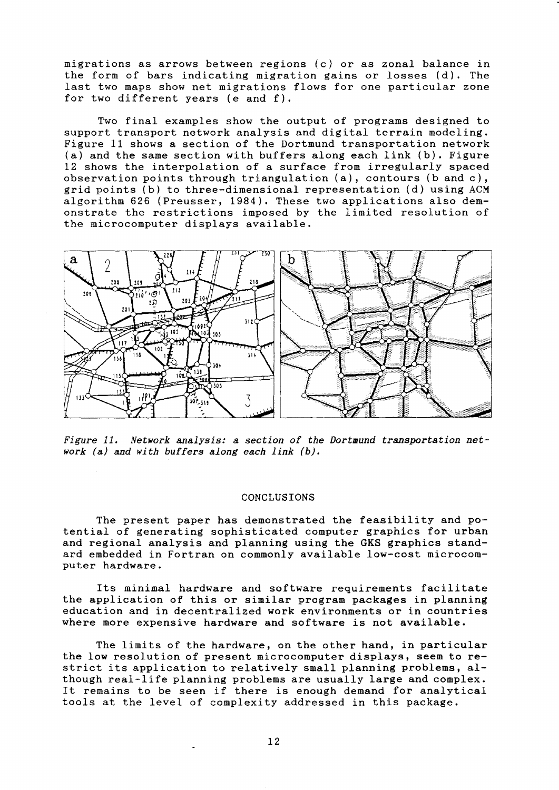migrations as arrows between regions (c) or as zonal- balance in the form of bars indicating migration gains or losses (d). The Iast two maps show net migrations flows for one particular zone for two different years (e and f).

Two final examples show the output of programs designed to support transport network analysis and digital terrain modeling. Figure 11 shows a section of the Dortmund transportation network  $(a)$  and the same section with buffers along each link  $(b)$ . Figure L2 shows the interpolation of a surface from irregularly spaced observation points through triangulation (a), contours (b and c), grid points (b) to three-dimensional representation (d) using ACM algorithm 626 (Preusser, 1984). These two applications also demonstrate the restrictions imposed by the limited resolution of the microcomputer displays available.



Figure 11. Network analysis: a section of the Dortmund transportation  $net$ work  $(a)$  and with buffers along each link  $(b)$ .

### CONCLUSIONS

The present paper has demonstrated the feasibility and potential of generating sophisticated computer graphics for urban and regional analysis and planning using the GKS graphics standard embedded in Fortran on commonly available 1ow-cost nicrocomputer hardware.

Its minimal hardware and software requirements facilitate the application of this or sinilar program packages in planning education and in decentralized work environments or in countries where more expensive hardware and software is not available.

The limits of the hardware, on the other hand, in particular the low resolution of present microcomputer displays, seem to restrict its application to relatively small planning problems, although real-1ife planning problems &re usually large and complex. It remains to be seen if there is enough demand for analytical tools at the level of complexity addressed in this package.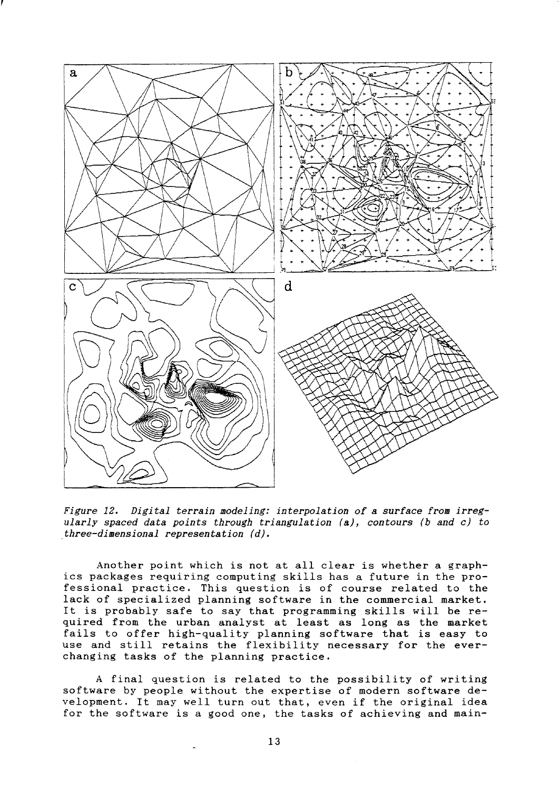

Figure 12. Digital terrain modeling: interpolation of a surface from irregularly spaced data points through triangulation  $(a)$ , contours (b and c) to three-dimensional representation  $(d)$ .

Another point which is not at all clear is whether a graphics packages requiring computing skiI1s has a future in the professional practice. This question is of course related to the lack of specialized planning software in the commercial market. It is probably safe to say that programming skills will be required fron the urban analyst at least as long as the market fails to offer high-quality planning software that is easy to use and sti11 retains the flexibility necessary for the everchanging tasks of the planning practice.

A final question is related to the possibility of writing software by people without the expertise of modern software development. It may well turn out that, even if the original idea for the software is a good one, the tasks of achieving and main